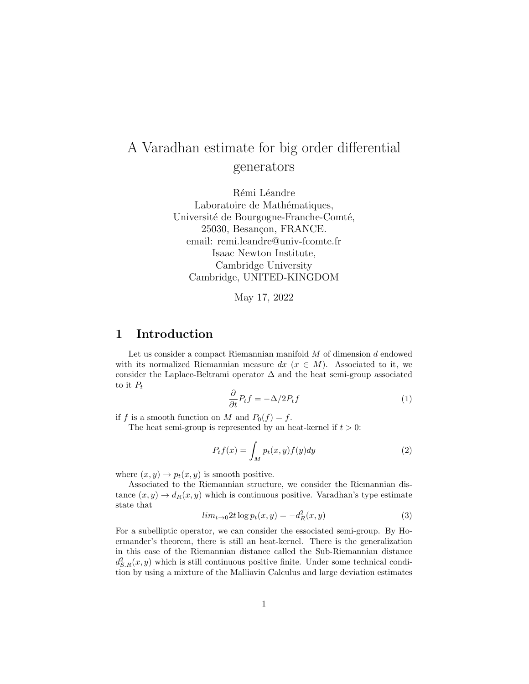## A Varadhan estimate for big order differential generators

Rémi Léandre Laboratoire de Mathématiques, Université de Bourgogne-Franche-Comté, 25030, Besançon, FRANCE. email: remi.leandre@univ-fcomte.fr Isaac Newton Institute, Cambridge University Cambridge, UNITED-KINGDOM

May 17, 2022

## 1 Introduction

Let us consider a compact Riemannian manifold  $M$  of dimension  $d$  endowed with its normalized Riemannian measure  $dx$  ( $x \in M$ ). Associated to it, we consider the Laplace-Beltrami operator  $\Delta$  and the heat semi-group associated to it  $P_t$ 

$$
\frac{\partial}{\partial t}P_t f = -\Delta/2P_t f \tag{1}
$$

if f is a smooth function on M and  $P_0(f) = f$ .

The heat semi-group is represented by an heat-kernel if  $t > 0$ :

$$
P_t f(x) = \int_M p_t(x, y) f(y) dy
$$
 (2)

where  $(x, y) \rightarrow p_t(x, y)$  is smooth positive.

Associated to the Riemannian structure, we consider the Riemannian distance  $(x, y) \rightarrow d_R(x, y)$  which is continuous positive. Varadhan's type estimate state that

$$
lim_{t \to 0} 2t \log p_t(x, y) = -d_R^2(x, y)
$$
\n
$$
(3)
$$

For a subelliptic operator, we can consider the essociated semi-group. By Hoermander's theorem, there is still an heat-kernel. There is the generalization in this case of the Riemannian distance called the Sub-Riemannian distance  $d_{S.R}^2(x, y)$  which is still continuous positive finite. Under some technical condition by using a mixture of the Malliavin Calculus and large deviation estimates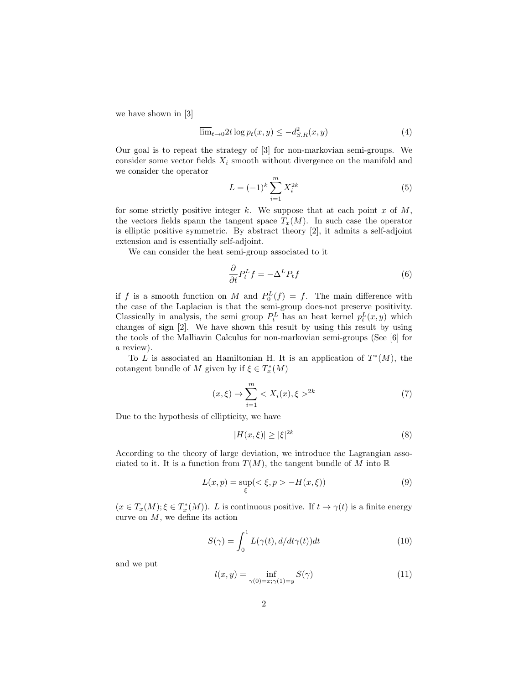we have shown in [3]

$$
\overline{\lim}_{t \to 0} 2t \log p_t(x, y) \le -d_{S.R}^2(x, y) \tag{4}
$$

Our goal is to repeat the strategy of [3] for non-markovian semi-groups. We consider some vector fields  $X_i$  smooth without divergence on the manifold and we consider the operator

$$
L = (-1)^k \sum_{i=1}^{m} X_i^{2k}
$$
 (5)

for some strictly positive integer k. We suppose that at each point  $x$  of  $M$ , the vectors fields spann the tangent space  $T_x(M)$ . In such case the operator is elliptic positive symmetric. By abstract theory [2], it admits a self-adjoint extension and is essentially self-adjoint.

We can consider the heat semi-group associated to it

$$
\frac{\partial}{\partial t}P_t^L f = -\Delta^L P_t f \tag{6}
$$

if f is a smooth function on M and  $P_0^L(f) = f$ . The main difference with the case of the Laplacian is that the semi-group does-not preserve positivity. Classically in analysis, the semi group  $P_t^L$  has an heat kernel  $p_t^L(x, y)$  which changes of sign [2]. We have shown this result by using this result by using the tools of the Malliavin Calculus for non-markovian semi-groups (See [6] for a review).

To L is associated an Hamiltonian H. It is an application of  $T^*(M)$ , the cotangent bundle of M given by if  $\xi \in T_x^*(M)$ 

$$
(x,\xi) \to \sum_{i=1}^{m} < X_i(x), \xi >^{2k} \tag{7}
$$

Due to the hypothesis of ellipticity, we have

$$
|H(x,\xi)| \ge |\xi|^{2k} \tag{8}
$$

According to the theory of large deviation, we introduce the Lagrangian associated to it. It is a function from  $T(M)$ , the tangent bundle of M into  $\mathbb R$ 

$$
L(x, p) = \sup_{\xi} (\langle \xi, p \rangle - H(x, \xi))
$$
\n(9)

 $(x \in T_x(M); \xi \in T_x^*(M)).$  L is continuous positive. If  $t \to \gamma(t)$  is a finite energy curve on  $M$ , we define its action

$$
S(\gamma) = \int_0^1 L(\gamma(t), d/dt \gamma(t)) dt
$$
\n(10)

and we put

$$
l(x,y) = \inf_{\gamma(0) = x; \gamma(1) = y} S(\gamma)
$$
\n(11)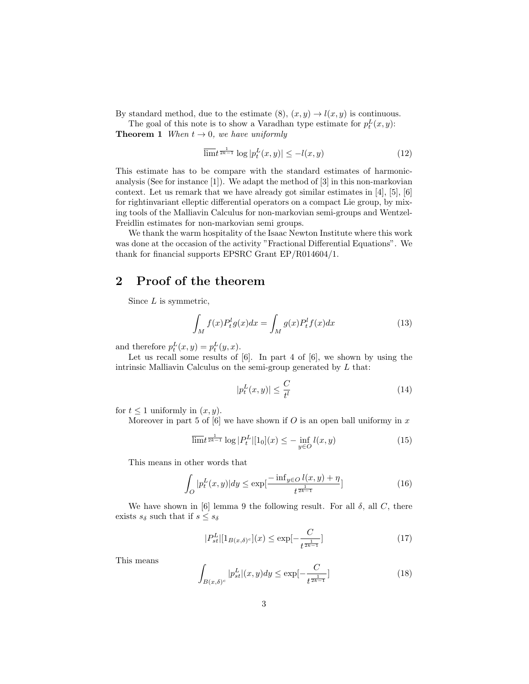By standard method, due to the estimate  $(8)$ ,  $(x, y) \rightarrow l(x, y)$  is continuous.

The goal of this note is to show a Varadhan type estimate for  $p_t^L(x, y)$ :

**Theorem 1** When  $t \rightarrow 0$ , we have uniformly

$$
\overline{\lim} t^{\frac{1}{2k-1}} \log |p_t^L(x, y)| \le -l(x, y) \tag{12}
$$

This estimate has to be compare with the standard estimates of harmonicanalysis (See for instance [1]). We adapt the method of [3] in this non-markovian context. Let us remark that we have already got similar estimates in [4], [5], [6] for rightinvariant elleptic differential operators on a compact Lie group, by mixing tools of the Malliavin Calculus for non-markovian semi-groups and Wentzel-Freidlin estimates for non-markovian semi groups.

We thank the warm hospitality of the Isaac Newton Institute where this work was done at the occasion of the activity "Fractional Differential Equations". We thank for financial supports EPSRC Grant EP/R014604/1.

## 2 Proof of the theorem

Since  $L$  is symmetric,

$$
\int_{M} f(x)P_t^l g(x)dx = \int_{M} g(x)P_t^l f(x)dx
$$
\n(13)

and therefore  $p_t^L(x, y) = p_t^L(y, x)$ .

Let us recall some results of [6]. In part 4 of [6], we shown by using the intrinsic Malliavin Calculus on the semi-group generated by L that:

$$
|p_t^L(x,y)| \le \frac{C}{t^l} \tag{14}
$$

for  $t \leq 1$  uniformly in  $(x, y)$ .

Moreover in part 5 of  $[6]$  we have shown if O is an open ball uniformy in x

$$
\overline{\lim} t^{\frac{1}{2k-1}} \log |P_t^L| [1_0](x) \le - \inf_{y \in O} l(x, y) \tag{15}
$$

This means in other words that

$$
\int_{O} |p_t^L(x, y)| dy \le \exp\left[\frac{-\inf_{y \in O} l(x, y) + \eta}{t^{\frac{1}{2k - 1}}}\right]
$$
\n(16)

We have shown in [6] lemma 9 the following result. For all  $\delta$ , all C, there exists  $s_{\delta}$  such that if  $s \leq s_{\delta}$ 

$$
|P_{st}^{L}|[1_{B(x,\delta)^{c}}](x) \le \exp[-\frac{C}{t^{\frac{1}{2k-1}}}]
$$
\n(17)

This means

$$
\int_{B(x,\delta)^c} |p_{st}^L|(x,y)dy \le \exp\left[-\frac{C}{t^{\frac{1}{2k-1}}}\right] \tag{18}
$$